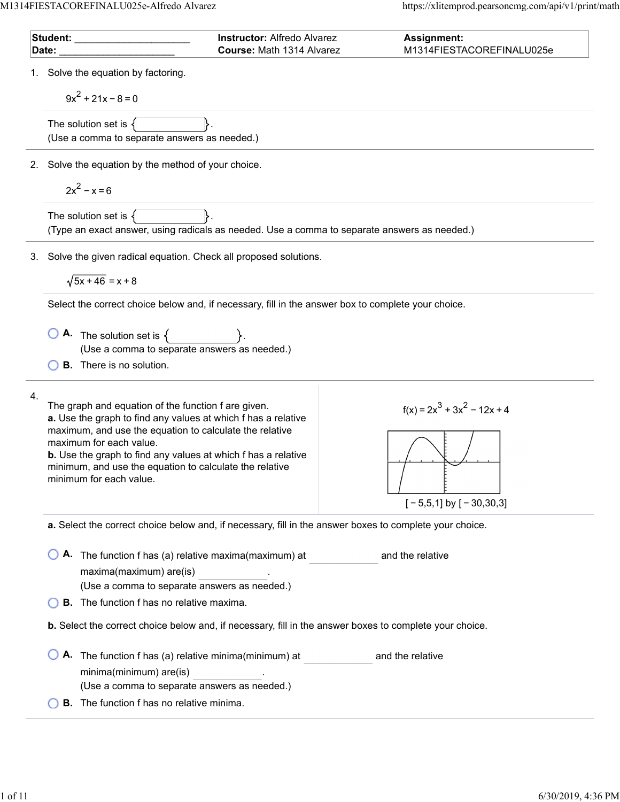| Date: | Student: ________                                                                                                                                                                                                                                                                                                                                                 | <b>Instructor: Alfredo Alvarez</b><br>Course: Math 1314 Alvarez | <b>Assignment:</b><br>M1314FIESTACOREFINALU025e                                                         |  |  |
|-------|-------------------------------------------------------------------------------------------------------------------------------------------------------------------------------------------------------------------------------------------------------------------------------------------------------------------------------------------------------------------|-----------------------------------------------------------------|---------------------------------------------------------------------------------------------------------|--|--|
|       | Solve the equation by factoring.                                                                                                                                                                                                                                                                                                                                  |                                                                 |                                                                                                         |  |  |
|       | $9x^2 + 21x - 8 = 0$                                                                                                                                                                                                                                                                                                                                              |                                                                 |                                                                                                         |  |  |
|       | The solution set is $\{$                                                                                                                                                                                                                                                                                                                                          |                                                                 |                                                                                                         |  |  |
|       | (Use a comma to separate answers as needed.)                                                                                                                                                                                                                                                                                                                      |                                                                 |                                                                                                         |  |  |
| 2.    | Solve the equation by the method of your choice.                                                                                                                                                                                                                                                                                                                  |                                                                 |                                                                                                         |  |  |
|       | $2x^2 - x = 6$                                                                                                                                                                                                                                                                                                                                                    |                                                                 |                                                                                                         |  |  |
|       | The solution set is $\{$<br>(Type an exact answer, using radicals as needed. Use a comma to separate answers as needed.)                                                                                                                                                                                                                                          |                                                                 |                                                                                                         |  |  |
| 3.    | Solve the given radical equation. Check all proposed solutions.                                                                                                                                                                                                                                                                                                   |                                                                 |                                                                                                         |  |  |
|       | $\sqrt{5x+46}$ = x + 8                                                                                                                                                                                                                                                                                                                                            |                                                                 |                                                                                                         |  |  |
|       | Select the correct choice below and, if necessary, fill in the answer box to complete your choice.                                                                                                                                                                                                                                                                |                                                                 |                                                                                                         |  |  |
|       | <b>A.</b> The solution set is $\{$<br>(Use a comma to separate answers as needed.)                                                                                                                                                                                                                                                                                |                                                                 |                                                                                                         |  |  |
|       | <b>B.</b> There is no solution.                                                                                                                                                                                                                                                                                                                                   |                                                                 |                                                                                                         |  |  |
| 4.    | The graph and equation of the function f are given.<br>a. Use the graph to find any values at which f has a relative<br>maximum, and use the equation to calculate the relative<br>maximum for each value.<br>b. Use the graph to find any values at which f has a relative<br>minimum, and use the equation to calculate the relative<br>minimum for each value. |                                                                 | $f(x) = 2x^3 + 3x^2 - 12x + 4$<br>$[-5,5,1]$ by $[-30,30,3]$                                            |  |  |
|       | a. Select the correct choice below and, if necessary, fill in the answer boxes to complete your choice.                                                                                                                                                                                                                                                           |                                                                 |                                                                                                         |  |  |
|       | A. The function f has (a) relative maxima(maximum) at<br>maxima(maximum) are(is)<br>(Use a comma to separate answers as needed.)                                                                                                                                                                                                                                  |                                                                 | and the relative                                                                                        |  |  |
|       | <b>B.</b> The function f has no relative maxima.                                                                                                                                                                                                                                                                                                                  |                                                                 |                                                                                                         |  |  |
|       |                                                                                                                                                                                                                                                                                                                                                                   |                                                                 | b. Select the correct choice below and, if necessary, fill in the answer boxes to complete your choice. |  |  |
|       | A. The function f has (a) relative minima(minimum) at<br>minima(minimum) are(is)                                                                                                                                                                                                                                                                                  |                                                                 | and the relative                                                                                        |  |  |
|       | (Use a comma to separate answers as needed.)                                                                                                                                                                                                                                                                                                                      |                                                                 |                                                                                                         |  |  |
|       | <b>B.</b> The function f has no relative minima.                                                                                                                                                                                                                                                                                                                  |                                                                 |                                                                                                         |  |  |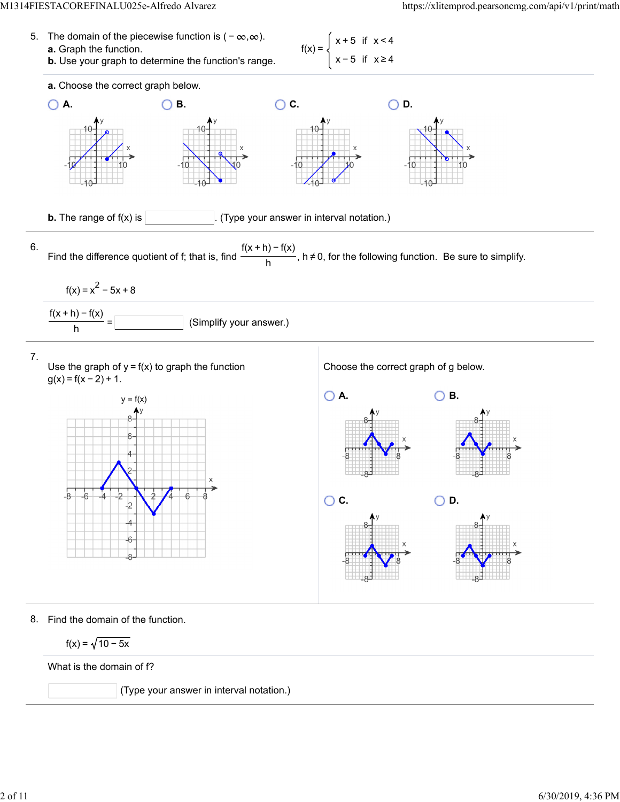



8. Find the domain of the function.

$$
f(x) = \sqrt{10 - 5x}
$$

What is the domain of f?

(Type your answer in interval notation.)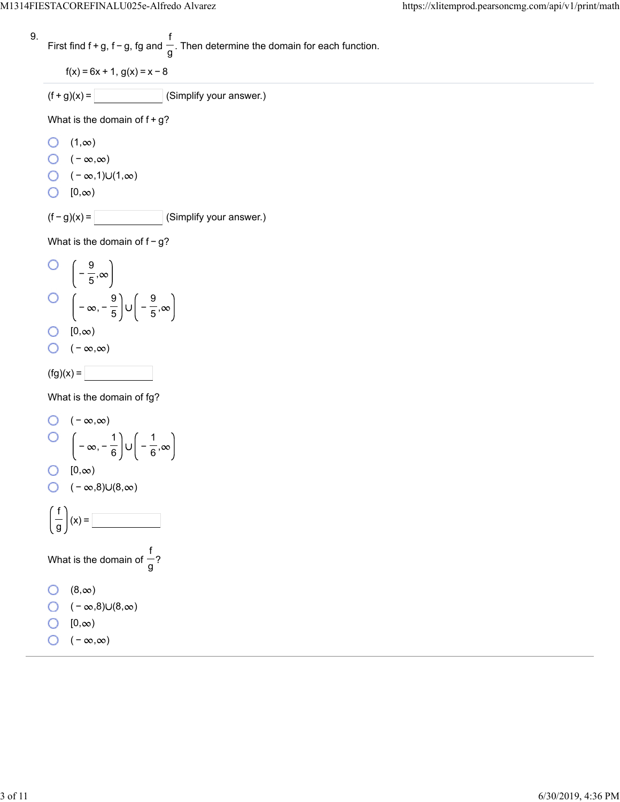9. First find 
$$
f + g
$$
,  $f - g$ ,  $fg$  and  $\frac{f}{g}$ . Then determine the domain for each function.

 $f(x) = 6x + 1$ ,  $g(x) = x - 8$ 

 $(f+g)(x) =$  (Simplify your answer.)

What is the domain of  $f+g$ ?

 $\bigcirc$   $(1, \infty)$ 

 $\bigcirc$  ( − ∞,∞)

- $\bigcirc$  (  $\infty$ ,1) $\cup$ (1, $\infty$ )
- $\bigcirc$   $[0, \infty)$

 $(f - g)(x) =$  (Simplify your answer.)

in the control of the control of the control of the control of the control of the control of the control of th<br>Control of the control of the control of the control of the control of the control of the control of the contro

What is the domain of  $f-g$ ?

O 
$$
\left(-\frac{9}{5}, \infty\right)
$$
  
O  $\left(-\infty, -\frac{9}{5}\right) \cup \left(-\frac{9}{5}, \infty\right)$   
O  $[0, \infty)$ 

$$
\bigcirc\quad (-\infty,\infty)
$$

$$
f(g)(x) =
$$

What is the domain of fg?

O 
$$
(-\infty, \infty)
$$
  
\nO  $\left(-\infty, -\frac{1}{6}\right) \cup \left(-\frac{1}{6}, \infty\right)$   
\nO  $[0, \infty)$   
\nO  $(-\infty, 8) \cup (8, \infty)$   
\n $\left(\frac{f}{g}\right)(x) =$   
\nWhat is the domain of  $\frac{f}{g}$ ?  
\nO  $(8, \infty)$   
\nO  $(-\infty, 8) \cup (8, \infty)$   
\nO  $[0, \infty)$ 

 $\bigcirc$  ( − ∞,∞)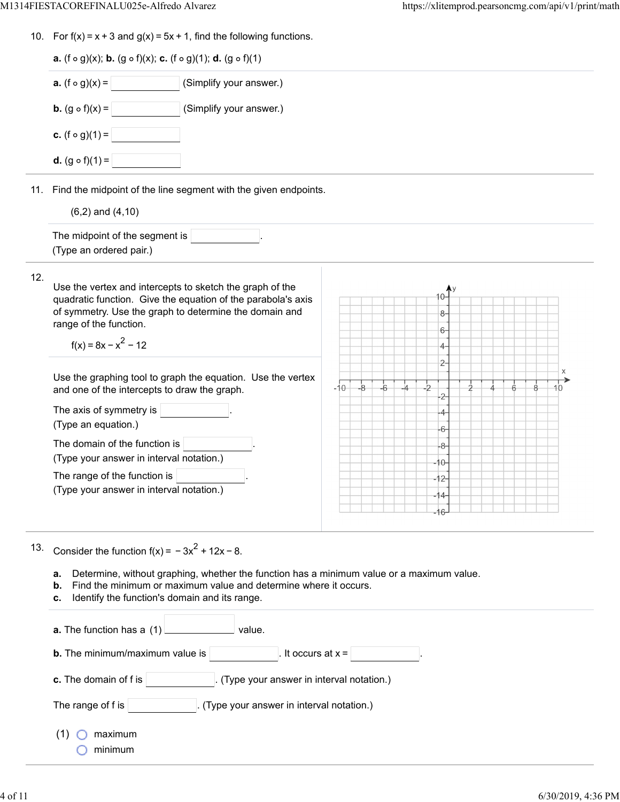|     | 10. For $f(x) = x + 3$ and $g(x) = 5x + 1$ , find the following functions.                                                                                                                                                                                                                                                                                                                                                                                                                                                                                       |                                                                                 |
|-----|------------------------------------------------------------------------------------------------------------------------------------------------------------------------------------------------------------------------------------------------------------------------------------------------------------------------------------------------------------------------------------------------------------------------------------------------------------------------------------------------------------------------------------------------------------------|---------------------------------------------------------------------------------|
|     | <b>a.</b> (f $\circ$ g)(x); <b>b.</b> (g $\circ$ f)(x); <b>c.</b> (f $\circ$ g)(1); <b>d.</b> (g $\circ$ f)(1)                                                                                                                                                                                                                                                                                                                                                                                                                                                   |                                                                                 |
|     | <b>a.</b> $(f \circ g)(x) =$<br>(Simplify your answer.)                                                                                                                                                                                                                                                                                                                                                                                                                                                                                                          |                                                                                 |
|     | <b>b.</b> $(g \circ f)(x) =$<br>(Simplify your answer.)                                                                                                                                                                                                                                                                                                                                                                                                                                                                                                          |                                                                                 |
|     | <b>c.</b> (f $\circ$ g)(1) =                                                                                                                                                                                                                                                                                                                                                                                                                                                                                                                                     |                                                                                 |
|     | <b>d.</b> $(g \circ f)(1) =$                                                                                                                                                                                                                                                                                                                                                                                                                                                                                                                                     |                                                                                 |
|     | 11. Find the midpoint of the line segment with the given endpoints.                                                                                                                                                                                                                                                                                                                                                                                                                                                                                              |                                                                                 |
|     | $(6,2)$ and $(4,10)$                                                                                                                                                                                                                                                                                                                                                                                                                                                                                                                                             |                                                                                 |
|     | The midpoint of the segment is<br>(Type an ordered pair.)                                                                                                                                                                                                                                                                                                                                                                                                                                                                                                        |                                                                                 |
| 12. | Use the vertex and intercepts to sketch the graph of the<br>quadratic function. Give the equation of the parabola's axis<br>of symmetry. Use the graph to determine the domain and<br>range of the function.<br>$f(x) = 8x - x^2 - 12$<br>Use the graphing tool to graph the equation. Use the vertex<br>and one of the intercepts to draw the graph.<br>The axis of symmetry is<br>(Type an equation.)<br>The domain of the function is<br>(Type your answer in interval notation.)<br>The range of the function is<br>(Type your answer in interval notation.) | 8-<br>6-<br>4-<br>2-<br>$-10$<br>8<br>4-<br>6-<br>-8-<br>$10 -$<br>-12-<br>-14- |
| 13. | Consider the function $f(x) = -3x^2 + 12x - 8$ .<br>Determine, without graphing, whether the function has a minimum value or a maximum value.<br>a.<br>Find the minimum or maximum value and determine where it occurs.<br>b.<br>Identify the function's domain and its range.<br>с.<br>value.<br>a. The function has a (1)<br>It occurs at $x =$<br><b>b.</b> The minimum/maximum value is<br>(Type your answer in interval notation.)<br>c. The domain of f is<br>The range of f is<br>(Type your answer in interval notation.)                                |                                                                                 |

- (1)  $\bigcirc$  maximum
	- $\bigcirc$  minimum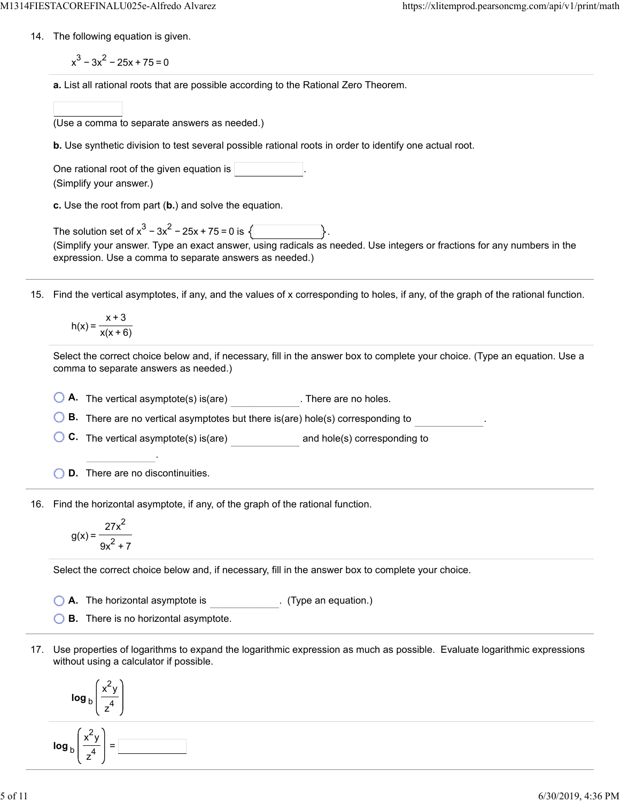14. The following equation is given.

 $x^3 - 3x^2 - 25x + 75 = 0$ 

**a.** List all rational roots that are possible according to the Rational Zero Theorem.

(Use a comma to separate answers as needed.)

**b.** Use synthetic division to test several possible rational roots in order to identify one actual root.

One rational root of the given equation is  $|$ (Simplify your answer.)

**c.** Use the root from part (**b.**) and solve the equation.

The solution set of  $x^3 - 3x^2 - 25x + 75 = 0$  is  $\sqrt{ }$ (Simplify your answer. Type an exact answer, using radicals as needed. Use integers or fractions for any numbers in the expression. Use a comma to separate answers as needed.)

15. Find the vertical asymptotes, if any, and the values of x corresponding to holes, if any, of the graph of the rational function.

$$
h(x) = \frac{x+3}{x(x+6)}
$$

Select the correct choice below and, if necessary, fill in the answer box to complete your choice. (Type an equation. Use a comma to separate answers as needed.)

**A.** The vertical asymptote(s) is(are) . There are no holes.

**B.** There are no vertical asymptotes but there is(are) hole(s) corresponding to .

**C.** The vertical asymptote(s) is(are) **and hole(s)** corresponding to

**D.** There are no discontinuities.

.

16. Find the horizontal asymptote, if any, of the graph of the rational function.

$$
g(x) = \frac{27x^2}{9x^2 + 7}
$$

Select the correct choice below and, if necessary, fill in the answer box to complete your choice.

**A.** The horizontal asymptote is . (Type an equation.)

**B.** There is no horizontal asymptote.

17. Use properties of logarithms to expand the logarithmic expression as much as possible. Evaluate logarithmic expressions without using a calculator if possible.

$$
\log_{b}\left(\frac{x^{2}y}{z^{4}}\right)
$$
\n
$$
\log_{b}\left(\frac{x^{2}y}{z^{4}}\right) = \boxed{}
$$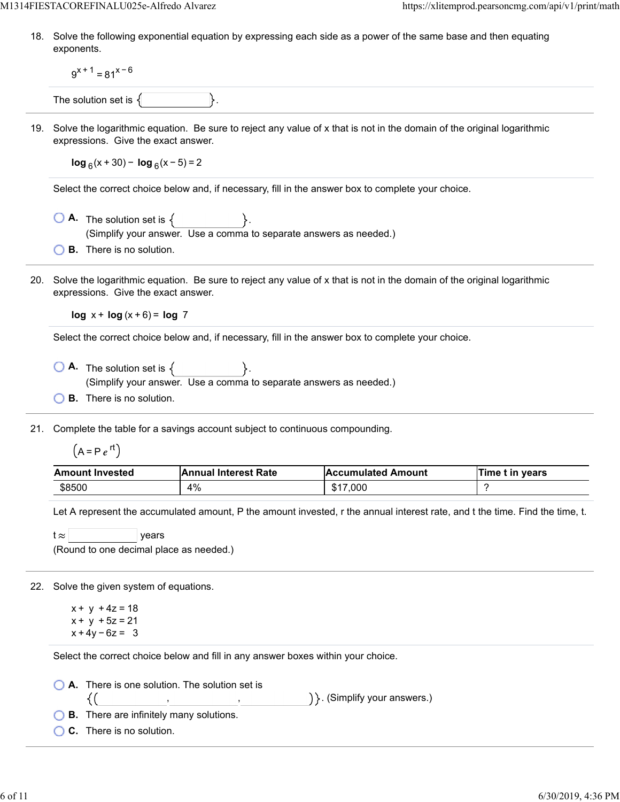18. Solve the following exponential equation by expressing each side as a power of the same base and then equating exponents.

 $9^{x+1}$  = 81<sup>x-6</sup>

The solution set is  $\{$ 

19. Solve the logarithmic equation. Be sure to reject any value of x that is not in the domain of the original logarithmic expressions. Give the exact answer.

**log**  $_6$ (x + 30) − **log**  $_6$ (x − 5) = 2

Select the correct choice below and, if necessary, fill in the answer box to complete your choice.

- $\bigcirc$  **A.** The solution set is  $\{$ (Simplify your answer. Use a comma to separate answers as needed.)
- **B.** There is no solution.
- 20. Solve the logarithmic equation. Be sure to reject any value of x that is not in the domain of the original logarithmic expressions. Give the exact answer.

**log** x + **log** (x + 6) = **log** 7

Select the correct choice below and, if necessary, fill in the answer box to complete your choice.

- $\overline{A}$  The solution set is  $\{$ (Simplify your answer. Use a comma to separate answers as needed.)
- **B.** There is no solution.

21. Complete the table for a savings account subject to continuous compounding.

 $(A = Pe^{rt})$ 

| <b>Amount Invested</b> | <b>Annual Interest Rate</b> | <b>Accumulated Amount</b>   | Time t in years |
|------------------------|-----------------------------|-----------------------------|-----------------|
| \$8500                 | 4%                          | .000<br><b>CAT</b><br>، اذک |                 |

Let A represent the accumulated amount, P the amount invested, r the annual interest rate, and t the time. Find the time, t.

| t≈l | vears                                   |  |
|-----|-----------------------------------------|--|
|     | (Round to one decimal place as needed.) |  |

22. Solve the given system of equations.

 $x + y + 4z = 18$  $x + y + 5z = 21$  $x + 4y - 6z = 3$ 

{(

Select the correct choice below and fill in any answer boxes within your choice.

, ,

**A.** There is one solution. The solution set is

) }. (Simplify your answers.)

**B.** There are infinitely many solutions.

**C.** There is no solution.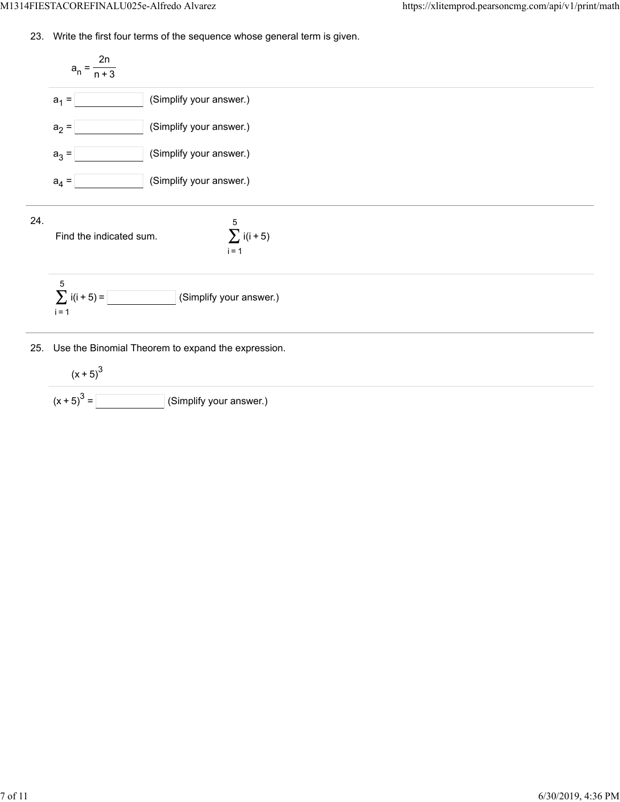23. Write the first four terms of the sequence whose general term is given.



25. Use the Binomial Theorem to expand the expression.

$$
(x+5)^3
$$
  
(x+5)<sup>3</sup> =   
 (Simplify your answer.)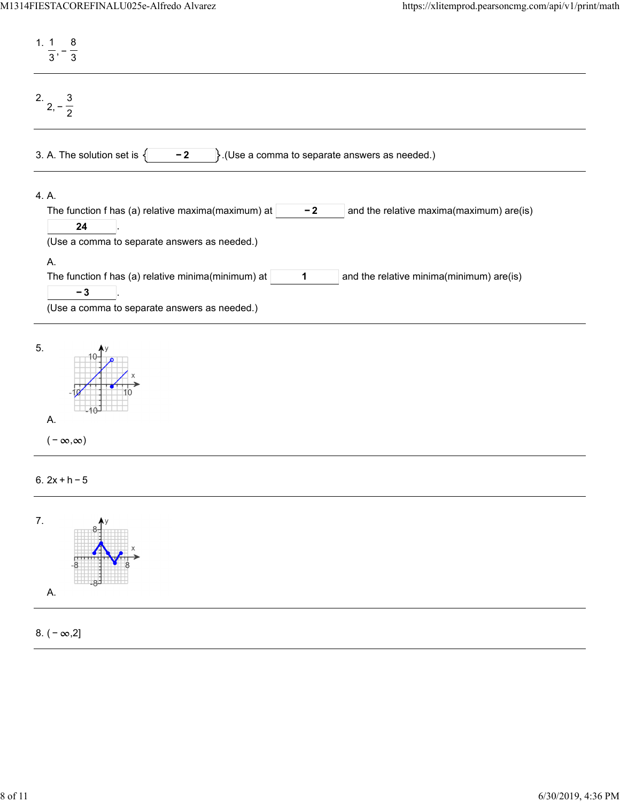| 1, 1<br>8<br>$\overline{3}$<br>$\overline{3}$                                                                                                                               |
|-----------------------------------------------------------------------------------------------------------------------------------------------------------------------------|
| $\frac{2}{2}$ , $-\frac{3}{2}$                                                                                                                                              |
| $\}$ . (Use a comma to separate answers as needed.)<br>3. A. The solution set is $\{$<br>$-2$                                                                               |
| 4. A.<br>The function f has (a) relative maxima(maximum) at<br>and the relative maxima(maximum) are(is)<br>$-2$<br>24<br>(Use a comma to separate answers as needed.)<br>A. |
| The function f has (a) relative minima(minimum) at<br>and the relative minima(minimum) are(is)<br>1<br>$-3$<br>(Use a comma to separate answers as needed.)                 |
| 5.<br>Α.<br>$(-\infty,\infty)$                                                                                                                                              |
| 6. $2x + h - 5$                                                                                                                                                             |



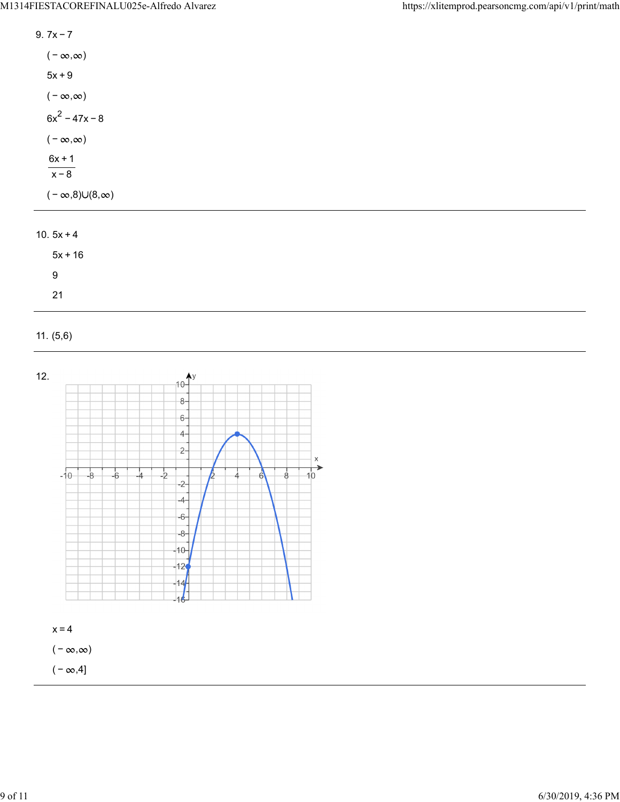| 9 7x – 7                        |
|---------------------------------|
| $(-\infty,\infty)$              |
| $5x + 9$                        |
| $(-\infty,\infty)$              |
| $6x^2 - 47x - 8$                |
| $(-\infty,\infty)$              |
| 6x + 1<br>$x - 8$               |
| $(-\infty, 8) \cup (8, \infty)$ |

## 10.  $5x + 4$

| $5x + 16$ |  |
|-----------|--|
| 9         |  |
| 21        |  |

## 11. (5,6)